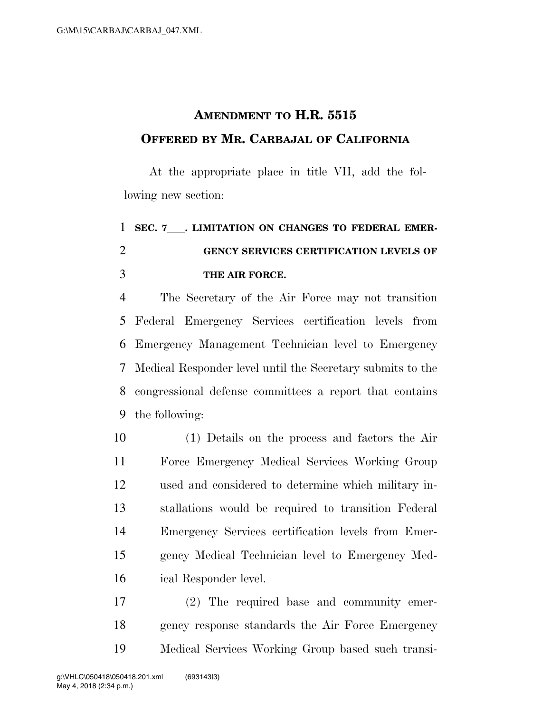## **AMENDMENT TO H.R. 5515 OFFERED BY MR. CARBAJAL OF CALIFORNIA**

At the appropriate place in title VII, add the following new section:

## **SEC. 7**ll**. LIMITATION ON CHANGES TO FEDERAL EMER- GENCY SERVICES CERTIFICATION LEVELS OF THE AIR FORCE.**

 The Secretary of the Air Force may not transition Federal Emergency Services certification levels from Emergency Management Technician level to Emergency Medical Responder level until the Secretary submits to the congressional defense committees a report that contains the following:

 (1) Details on the process and factors the Air Force Emergency Medical Services Working Group used and considered to determine which military in- stallations would be required to transition Federal Emergency Services certification levels from Emer- gency Medical Technician level to Emergency Med-ical Responder level.

 (2) The required base and community emer- gency response standards the Air Force Emergency Medical Services Working Group based such transi